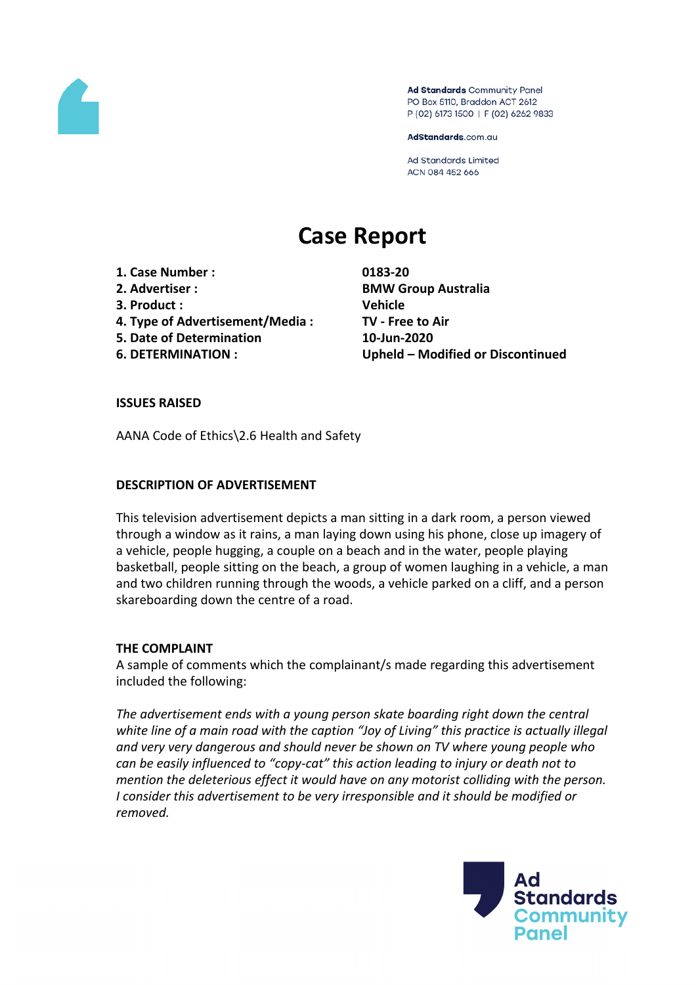

Ad Standards Community Panel PO Box 5110, Braddon ACT 2612 P (02) 6173 1500 | F (02) 6262 9833

AdStandards.com.au

Ad Standards Limited ACN 084 452 666

# **Case Report**

- **1. Case Number : 0183-20**
- 
- **3. Product : Vehicle**
- **4. Type of Advertisement/Media : TV - Free to Air**
- **5. Date of Determination 10-Jun-2020**
- 

**2. Advertiser : BMW Group Australia 6. DETERMINATION : Upheld – Modified or Discontinued**

## **ISSUES RAISED**

AANA Code of Ethics\2.6 Health and Safety

## **DESCRIPTION OF ADVERTISEMENT**

This television advertisement depicts a man sitting in a dark room, a person viewed through a window as it rains, a man laying down using his phone, close up imagery of a vehicle, people hugging, a couple on a beach and in the water, people playing basketball, people sitting on the beach, a group of women laughing in a vehicle, a man and two children running through the woods, a vehicle parked on a cliff, and a person skareboarding down the centre of a road.

## **THE COMPLAINT**

A sample of comments which the complainant/s made regarding this advertisement included the following:

*The advertisement ends with a young person skate boarding right down the central white line of a main road with the caption "Joy of Living" this practice is actually illegal and very very dangerous and should never be shown on TV where young people who can be easily influenced to "copy-cat" this action leading to injury or death not to mention the deleterious effect it would have on any motorist colliding with the person. I consider this advertisement to be very irresponsible and it should be modified or removed.*

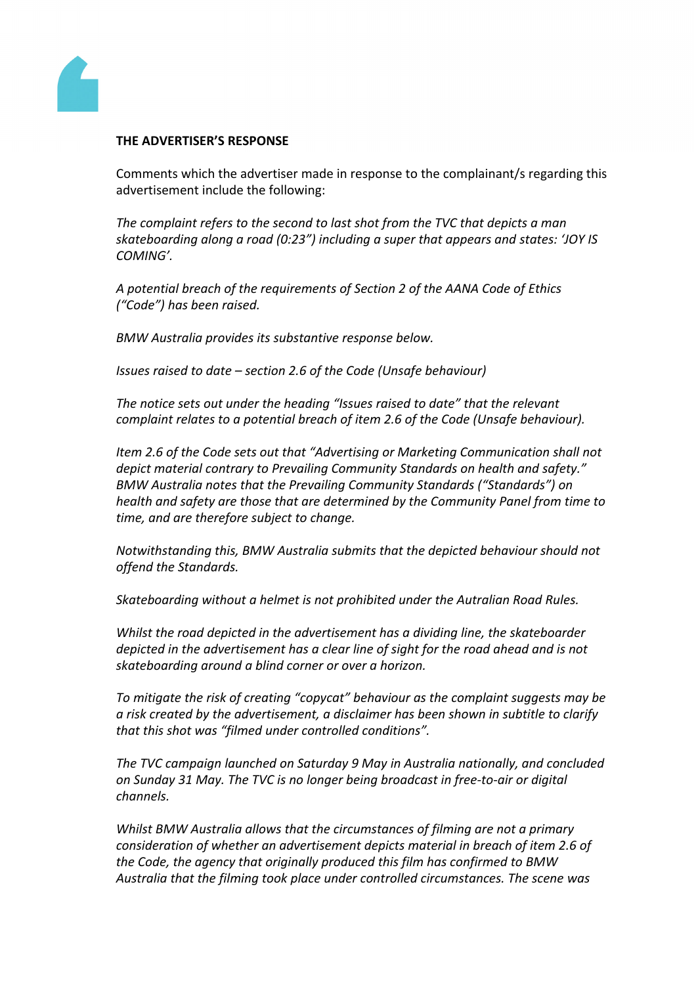

### **THE ADVERTISER'S RESPONSE**

Comments which the advertiser made in response to the complainant/s regarding this advertisement include the following:

*The complaint refers to the second to last shot from the TVC that depicts a man skateboarding along a road (0:23") including a super that appears and states: 'JOY IS COMING'.*

*A potential breach of the requirements of Section 2 of the AANA Code of Ethics ("Code") has been raised.*

*BMW Australia provides its substantive response below.*

*Issues raised to date – section 2.6 of the Code (Unsafe behaviour)*

*The notice sets out under the heading "Issues raised to date" that the relevant complaint relates to a potential breach of item 2.6 of the Code (Unsafe behaviour).*

*Item 2.6 of the Code sets out that "Advertising or Marketing Communication shall not depict material contrary to Prevailing Community Standards on health and safety." BMW Australia notes that the Prevailing Community Standards ("Standards") on health and safety are those that are determined by the Community Panel from time to time, and are therefore subject to change.*

*Notwithstanding this, BMW Australia submits that the depicted behaviour should not offend the Standards.*

*Skateboarding without a helmet is not prohibited under the Autralian Road Rules.*

*Whilst the road depicted in the advertisement has a dividing line, the skateboarder depicted in the advertisement has a clear line of sight for the road ahead and is not skateboarding around a blind corner or over a horizon.*

*To mitigate the risk of creating "copycat" behaviour as the complaint suggests may be a risk created by the advertisement, a disclaimer has been shown in subtitle to clarify that this shot was "filmed under controlled conditions".*

*The TVC campaign launched on Saturday 9 May in Australia nationally, and concluded on Sunday 31 May. The TVC is no longer being broadcast in free-to-air or digital channels.* 

*Whilst BMW Australia allows that the circumstances of filming are not a primary consideration of whether an advertisement depicts material in breach of item 2.6 of the Code, the agency that originally produced this film has confirmed to BMW Australia that the filming took place under controlled circumstances. The scene was*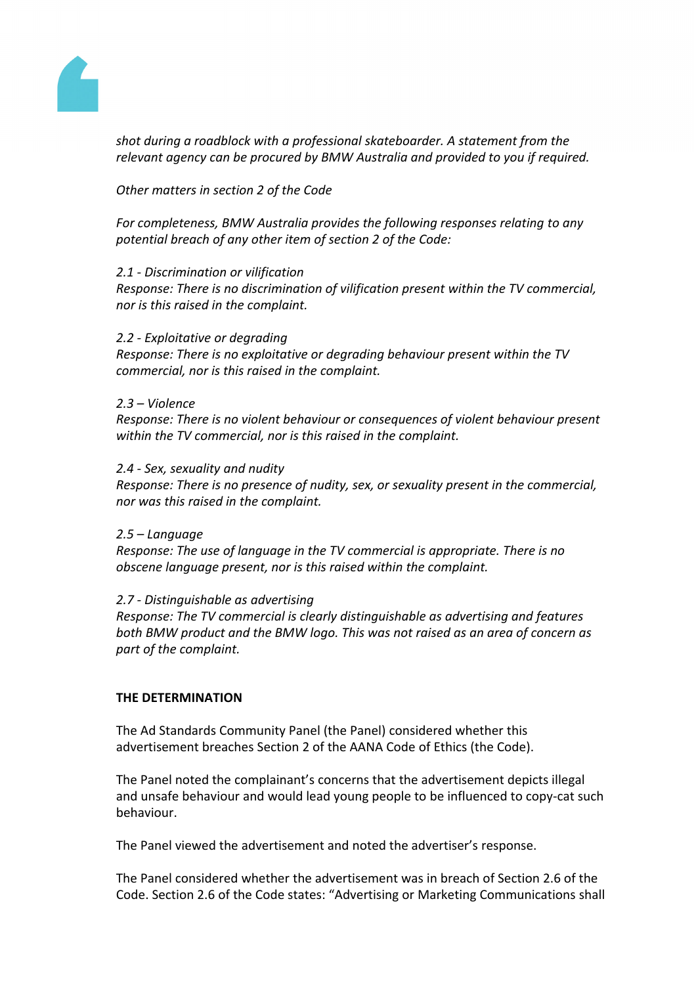

*shot during a roadblock with a professional skateboarder. A statement from the relevant agency can be procured by BMW Australia and provided to you if required.*

*Other matters in section 2 of the Code*

*For completeness, BMW Australia provides the following responses relating to any potential breach of any other item of section 2 of the Code:*

#### *2.1 - Discrimination or vilification*

*Response: There is no discrimination of vilification present within the TV commercial, nor is this raised in the complaint.*

#### *2.2 - Exploitative or degrading*

*Response: There is no exploitative or degrading behaviour present within the TV commercial, nor is this raised in the complaint.*

#### *2.3 – Violence*

*Response: There is no violent behaviour or consequences of violent behaviour present within the TV commercial, nor is this raised in the complaint.*

#### *2.4 - Sex, sexuality and nudity*

*Response: There is no presence of nudity, sex, or sexuality present in the commercial, nor was this raised in the complaint.*

#### *2.5 – Language*

*Response: The use of language in the TV commercial is appropriate. There is no obscene language present, nor is this raised within the complaint.*

## *2.7 - Distinguishable as advertising*

*Response: The TV commercial is clearly distinguishable as advertising and features both BMW product and the BMW logo. This was not raised as an area of concern as part of the complaint.*

## **THE DETERMINATION**

The Ad Standards Community Panel (the Panel) considered whether this advertisement breaches Section 2 of the AANA Code of Ethics (the Code).

The Panel noted the complainant's concerns that the advertisement depicts illegal and unsafe behaviour and would lead young people to be influenced to copy-cat such behaviour.

The Panel viewed the advertisement and noted the advertiser's response.

The Panel considered whether the advertisement was in breach of Section 2.6 of the Code. Section 2.6 of the Code states: "Advertising or Marketing Communications shall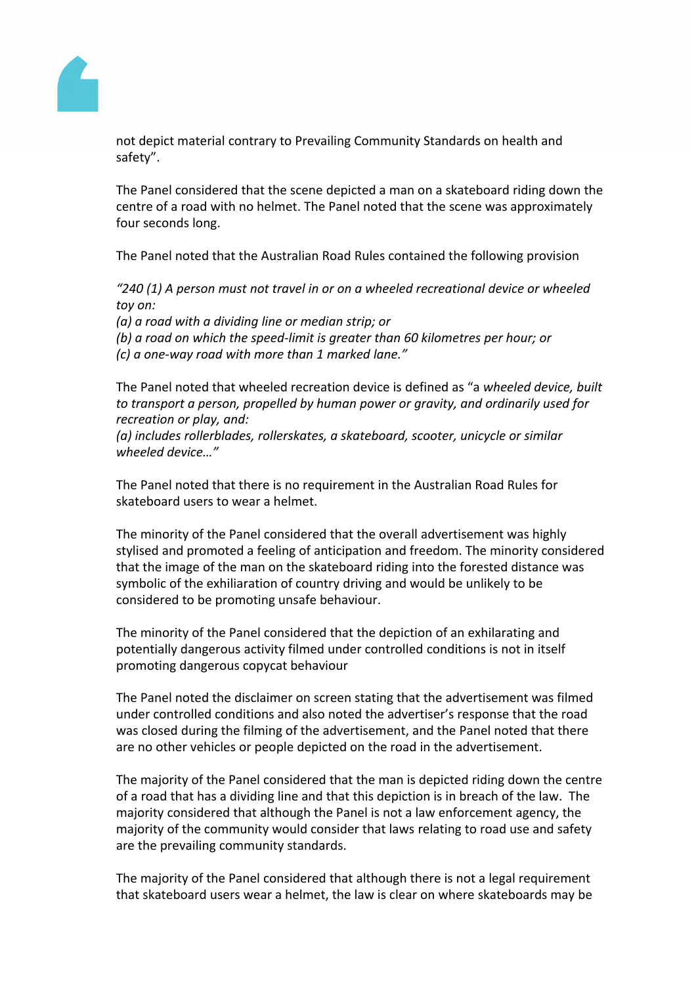

not depict material contrary to Prevailing Community Standards on health and safety".

The Panel considered that the scene depicted a man on a skateboard riding down the centre of a road with no helmet. The Panel noted that the scene was approximately four seconds long.

The Panel noted that the Australian Road Rules contained the following provision

*"240 (1) A person must not travel in or on a wheeled recreational device or wheeled toy on:*

*(a) a road with a dividing line or median strip; or*

*(b) a road on which the speed-limit is greater than 60 kilometres per hour; or (c) a one-way road with more than 1 marked lane."*

The Panel noted that wheeled recreation device is defined as "a *wheeled device, built to transport a person, propelled by human power or gravity, and ordinarily used for recreation or play, and:*

*(a) includes rollerblades, rollerskates, a skateboard, scooter, unicycle or similar wheeled device…"*

The Panel noted that there is no requirement in the Australian Road Rules for skateboard users to wear a helmet.

The minority of the Panel considered that the overall advertisement was highly stylised and promoted a feeling of anticipation and freedom. The minority considered that the image of the man on the skateboard riding into the forested distance was symbolic of the exhiliaration of country driving and would be unlikely to be considered to be promoting unsafe behaviour.

The minority of the Panel considered that the depiction of an exhilarating and potentially dangerous activity filmed under controlled conditions is not in itself promoting dangerous copycat behaviour

The Panel noted the disclaimer on screen stating that the advertisement was filmed under controlled conditions and also noted the advertiser's response that the road was closed during the filming of the advertisement, and the Panel noted that there are no other vehicles or people depicted on the road in the advertisement.

The majority of the Panel considered that the man is depicted riding down the centre of a road that has a dividing line and that this depiction is in breach of the law. The majority considered that although the Panel is not a law enforcement agency, the majority of the community would consider that laws relating to road use and safety are the prevailing community standards.

The majority of the Panel considered that although there is not a legal requirement that skateboard users wear a helmet, the law is clear on where skateboards may be